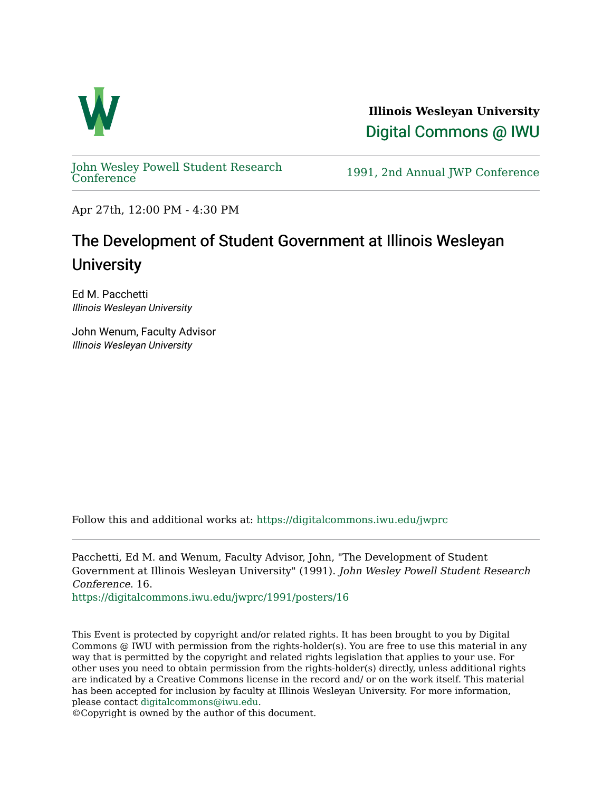

**Illinois Wesleyan University**  [Digital Commons @ IWU](https://digitalcommons.iwu.edu/) 

[John Wesley Powell Student Research](https://digitalcommons.iwu.edu/jwprc) 

1991, 2nd Annual JWP [Conference](https://digitalcommons.iwu.edu/jwprc)

Apr 27th, 12:00 PM - 4:30 PM

## The Development of Student Government at Illinois Wesleyan **University**

Ed M. Pacchetti Illinois Wesleyan University

John Wenum, Faculty Advisor Illinois Wesleyan University

Follow this and additional works at: [https://digitalcommons.iwu.edu/jwprc](https://digitalcommons.iwu.edu/jwprc?utm_source=digitalcommons.iwu.edu%2Fjwprc%2F1991%2Fposters%2F16&utm_medium=PDF&utm_campaign=PDFCoverPages) 

Pacchetti, Ed M. and Wenum, Faculty Advisor, John, "The Development of Student Government at Illinois Wesleyan University" (1991). John Wesley Powell Student Research Conference. 16.

[https://digitalcommons.iwu.edu/jwprc/1991/posters/16](https://digitalcommons.iwu.edu/jwprc/1991/posters/16?utm_source=digitalcommons.iwu.edu%2Fjwprc%2F1991%2Fposters%2F16&utm_medium=PDF&utm_campaign=PDFCoverPages)

This Event is protected by copyright and/or related rights. It has been brought to you by Digital Commons @ IWU with permission from the rights-holder(s). You are free to use this material in any way that is permitted by the copyright and related rights legislation that applies to your use. For other uses you need to obtain permission from the rights-holder(s) directly, unless additional rights are indicated by a Creative Commons license in the record and/ or on the work itself. This material has been accepted for inclusion by faculty at Illinois Wesleyan University. For more information, please contact [digitalcommons@iwu.edu.](mailto:digitalcommons@iwu.edu)

©Copyright is owned by the author of this document.